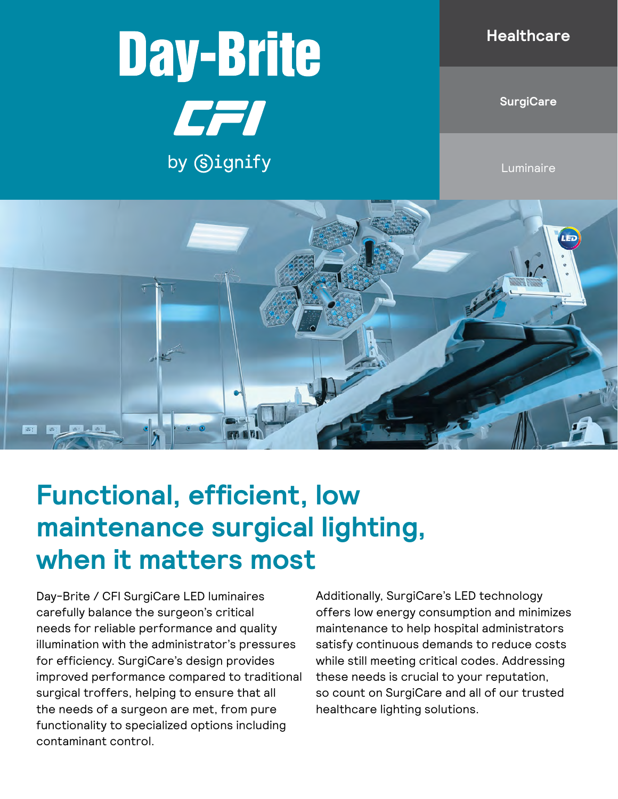# **Day-Brite**

CFI

by Signify

#### **Healthcare**

**SurgiCare**

**Luminaire** 



## **Functional, efficient, low maintenance surgical lighting, when it matters most**

Day-Brite / CFI SurgiCare LED luminaires carefully balance the surgeon's critical needs for reliable performance and quality illumination with the administrator's pressures for efficiency. SurgiCare's design provides improved performance compared to traditional surgical troffers, helping to ensure that all the needs of a surgeon are met, from pure functionality to specialized options including contaminant control.

Additionally, SurgiCare's LED technology offers low energy consumption and minimizes maintenance to help hospital administrators satisfy continuous demands to reduce costs while still meeting critical codes. Addressing these needs is crucial to your reputation, so count on SurgiCare and all of our trusted healthcare lighting solutions.